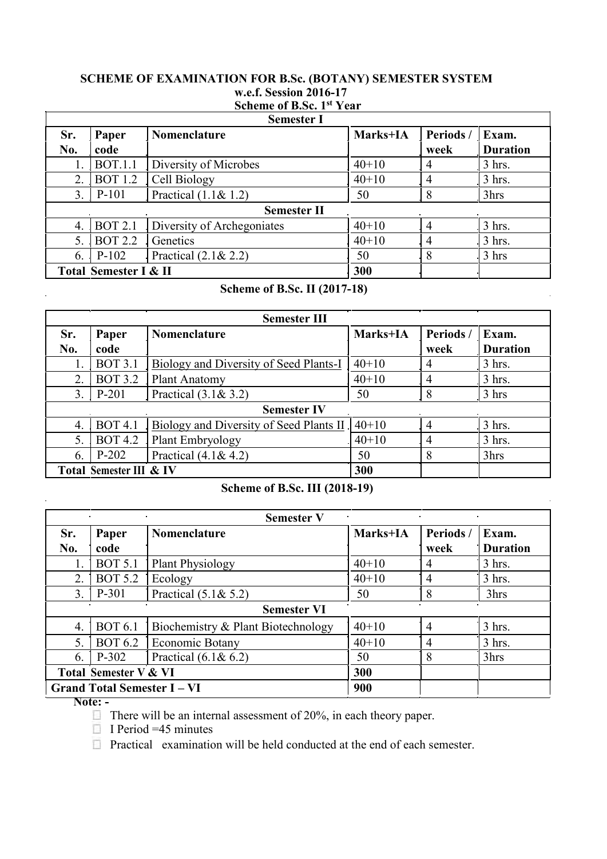#### **SCHEME OF EXAMINATION FOR B.Sc. (BOTANY) SEMESTER SYSTEM w.e.f. Session 2016-17 Scheme of B.Sc. 1st Year**

| <b>Semester I</b>                |                |                            |          |           |                 |
|----------------------------------|----------------|----------------------------|----------|-----------|-----------------|
| Sr.                              | Paper          | <b>Nomenclature</b>        | Marks+IA | Periods / | Exam.           |
| No.                              | code           |                            |          | week      | <b>Duration</b> |
|                                  | <b>BOT.1.1</b> | Diversity of Microbes      | $40+10$  | 4         | $3$ hrs.        |
| 2.                               | <b>BOT 1.2</b> | Cell Biology               | $40+10$  | 4         | $3$ hrs.        |
| 3.                               | P-101          | Practical $(1.1 & 1.2)$    | 50       |           | 3hrs            |
| <b>Semester II</b>               |                |                            |          |           |                 |
| 4.                               | <b>BOT 2.1</b> | Diversity of Archegoniates | $40+10$  |           | $3$ hrs.        |
| 5.                               | <b>BOT 2.2</b> | Genetics                   | $40+10$  | 4         | $3$ hrs.        |
| 6.                               | $P-102$        | Practical $(2.1 & 2.2)$    | 50       | 8         | $3 \text{ hrs}$ |
| <b>Total Semester I &amp; II</b> |                |                            | 300      |           |                 |

# **Scheme of B.Sc. II (2017-18)**

| <b>Semester III</b>     |                |                                         |          |           |                 |  |
|-------------------------|----------------|-----------------------------------------|----------|-----------|-----------------|--|
| Sr.                     | Paper          | Nomenclature                            | Marks+IA | Periods / | Exam.           |  |
| No.                     | code           |                                         |          | week      | <b>Duration</b> |  |
|                         | <b>BOT 3.1</b> | Biology and Diversity of Seed Plants-I  | $40+10$  | 4         | $3$ hrs.        |  |
| 2.                      | <b>BOT 3.2</b> | <b>Plant Anatomy</b>                    | $40+10$  | 4         | $3$ hrs.        |  |
| 3.                      | $P-201$        | Practical $(3.1 & 3.2)$                 | 50       | 8         | 3 hrs           |  |
| <b>Semester IV</b>      |                |                                         |          |           |                 |  |
| 4.                      | <b>BOT 4.1</b> | Biology and Diversity of Seed Plants II | $40+10$  | 4         | $3$ hrs.        |  |
| 5.                      | <b>BOT 4.2</b> | Plant Embryology                        | $40+10$  | 4         | $3$ hrs.        |  |
| 6.                      | $P-202$        | Practical $(4.1 & 4.2)$                 | 50       | 8         | 3hrs            |  |
| Total Semester III & IV |                |                                         | 300      |           |                 |  |

# **Scheme of B.Sc. III (2018-19)**

l.

| <b>Semester V</b>                |                |                                    |          |                |                 |
|----------------------------------|----------------|------------------------------------|----------|----------------|-----------------|
| Sr.                              | Paper          | Nomenclature                       | Marks+IA | Periods/       | Exam.           |
| No.                              | code           |                                    |          | week           | <b>Duration</b> |
|                                  | <b>BOT 5.1</b> | Plant Physiology                   | $40+10$  | $\overline{4}$ | $3$ hrs.        |
| 2.                               | <b>BOT 5.2</b> | Ecology                            | $40+10$  | $\overline{4}$ | $3$ hrs.        |
| 3.                               | P-301          | Practical $(5.1 & 5.2)$            | 50       | 8              | 3hrs            |
| $\sim$<br><b>Semester VI</b>     |                |                                    |          |                |                 |
| 4.                               | <b>BOT 6.1</b> | Biochemistry & Plant Biotechnology | $40+10$  | 4              | 3 hrs.          |
| 5.                               | <b>BOT 6.2</b> | Economic Botany                    | $40+10$  | 4              | $3$ hrs.        |
| 6.                               | $P-302$        | Practical $(6.1 & 6.2)$            | 50       | 8              | 3hrs            |
| <b>Total Semester V &amp; VI</b> |                |                                    | 300      |                |                 |
| <b>Grand Total Semester I-VI</b> |                |                                    | 900      |                |                 |

**Note: -**

l,

 $\bar{a}$ 

 $\Box$  There will be an internal assessment of 20%, in each theory paper.

 $\Box$  I Period =45 minutes

**Practical examination will be held conducted at the end of each semester.**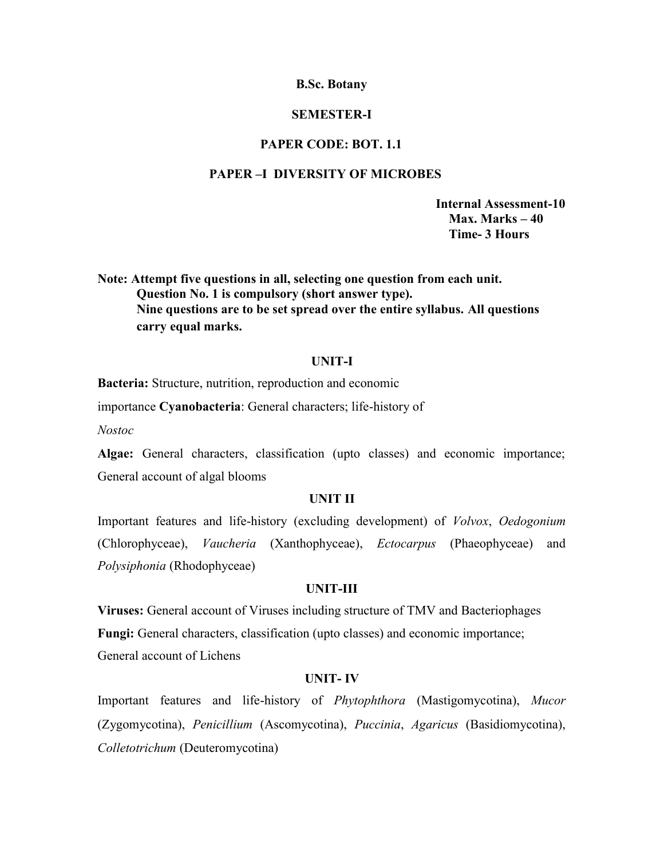# **SEMESTER-I**

# **PAPER CODE: BOT. 1.1**

# **PAPER –I DIVERSITY OF MICROBES**

**Internal Assessment-10 Max. Marks – 40 Time- 3 Hours**

**Note: Attempt five questions in all, selecting one question from each unit. Question No. 1 is compulsory (short answer type). Nine questions are to be set spread over the entire syllabus. All questions carry equal marks.**

#### **UNIT-I**

**Bacteria:** Structure, nutrition, reproduction and economic

importance **Cyanobacteria**: General characters; life-history of

*Nostoc*

**Algae:** General characters, classification (upto classes) and economic importance; General account of algal blooms

#### **UNIT II**

Important features and life-history (excluding development) of *Volvox*, *Oedogonium* (Chlorophyceae), *Vaucheria* (Xanthophyceae), *Ectocarpus* (Phaeophyceae) and *Polysiphonia* (Rhodophyceae)

#### **UNIT-III**

**Viruses:** General account of Viruses including structure of TMV and Bacteriophages **Fungi:** General characters, classification (upto classes) and economic importance; General account of Lichens

#### **UNIT- IV**

Important features and life-history of *Phytophthora* (Mastigomycotina), *Mucor* (Zygomycotina), *Penicillium* (Ascomycotina), *Puccinia*, *Agaricus* (Basidiomycotina), *Colletotrichum* (Deuteromycotina)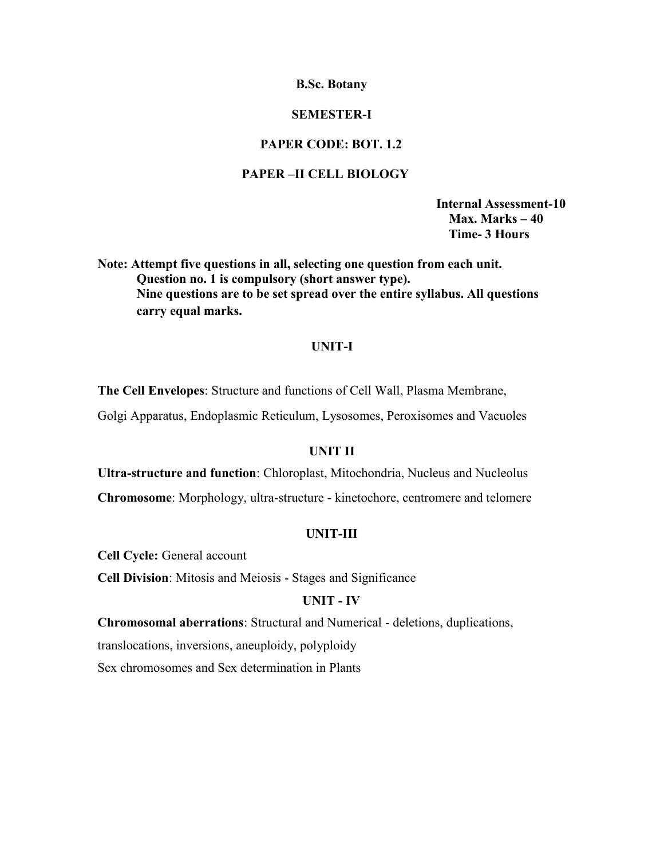# **SEMESTER-I**

# **PAPER CODE: BOT. 1.2**

# **PAPER –II CELL BIOLOGY**

**Internal Assessment-10 Max. Marks – 40 Time- 3 Hours**

**Note: Attempt five questions in all, selecting one question from each unit. Question no. 1 is compulsory (short answer type). Nine questions are to be set spread over the entire syllabus. All questions carry equal marks.**

# **UNIT-I**

**The Cell Envelopes**: Structure and functions of Cell Wall, Plasma Membrane,

Golgi Apparatus, Endoplasmic Reticulum, Lysosomes, Peroxisomes and Vacuoles

# **UNIT II**

**Ultra-structure and function**: Chloroplast, Mitochondria, Nucleus and Nucleolus **Chromosome**: Morphology, ultra-structure - kinetochore, centromere and telomere

## **UNIT-III**

**Cell Cycle:** General account

**Cell Division**: Mitosis and Meiosis - Stages and Significance

# **UNIT - IV**

**Chromosomal aberrations**: Structural and Numerical - deletions, duplications,

translocations, inversions, aneuploidy, polyploidy

Sex chromosomes and Sex determination in Plants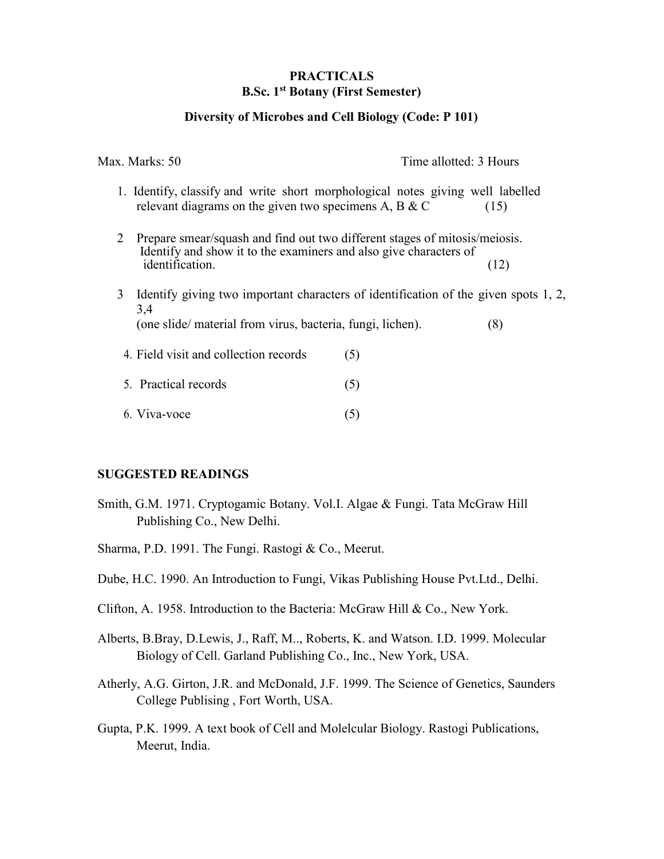# **PRACTICALS B.Sc. 1st Botany (First Semester)**

# **Diversity of Microbes and Cell Biology (Code: P 101)**

Max. Marks: 50 Time allotted: 3 Hours

- 1. Identify, classify and write short morphological notes giving well labelled relevant diagrams on the given two specimens A, B  $&$  C (15)
- 2 Prepare smear/squash and find out two different stages of mitosis/meiosis. Identify and show it to the examiners and also give characters of identification. (12) identification.
- 3 Identify giving two important characters of identification of the given spots 1, 2, 3,4 (one slide/ material from virus, bacteria, fungi, lichen). (8)
- 4. Field visit and collection records (5)
- 5. Practical records (5)
- $6. \text{Viva-voce}$  (5)

#### **SUGGESTED READINGS**

- Smith, G.M. 1971. Cryptogamic Botany. Vol.I. Algae & Fungi. Tata McGraw Hill Publishing Co., New Delhi.
- Sharma, P.D. 1991. The Fungi. Rastogi & Co., Meerut.
- Dube, H.C. 1990. An Introduction to Fungi, Vikas Publishing House Pvt.Ltd., Delhi.
- Clifton, A. 1958. Introduction to the Bacteria: McGraw Hill & Co., New York.
- Alberts, B.Bray, D.Lewis, J., Raff, M.., Roberts, K. and Watson. I.D. 1999. Molecular Biology of Cell. Garland Publishing Co., Inc., New York, USA.
- Atherly, A.G. Girton, J.R. and McDonald, J.F. 1999. The Science of Genetics, Saunders College Publising , Fort Worth, USA.
- Gupta, P.K. 1999. A text book of Cell and Molelcular Biology. Rastogi Publications, Meerut, India.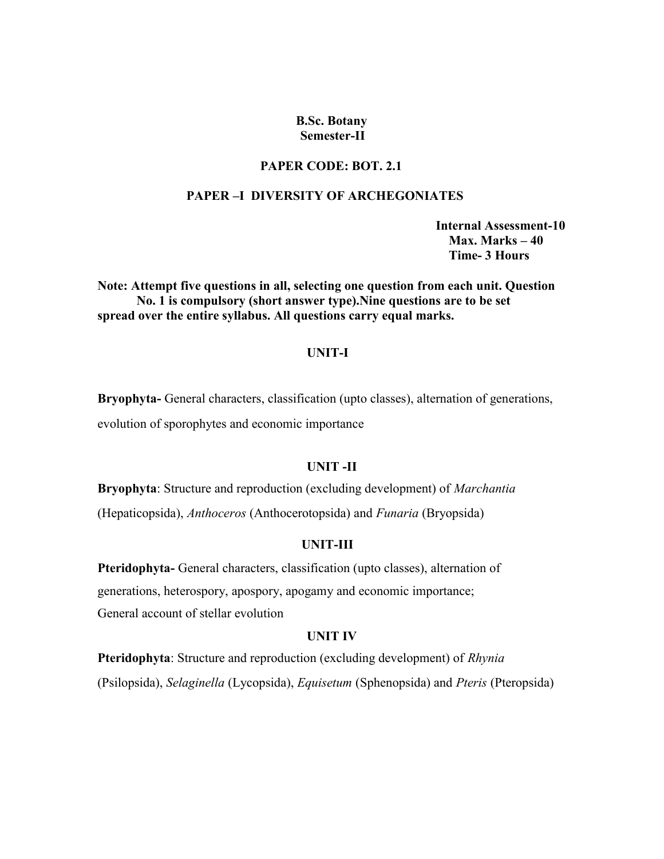#### **B.Sc. Botany Semester-II**

# **PAPER CODE: BOT. 2.1**

#### **PAPER –I DIVERSITY OF ARCHEGONIATES**

**Internal Assessment-10 Max. Marks – 40 Time- 3 Hours**

**Note: Attempt five questions in all, selecting one question from each unit. Question No. 1 is compulsory (short answer type).Nine questions are to be set spread over the entire syllabus. All questions carry equal marks.**

# **UNIT-I**

**Bryophyta-** General characters, classification (upto classes), alternation of generations, evolution of sporophytes and economic importance

# **UNIT -II**

**Bryophyta**: Structure and reproduction (excluding development) of *Marchantia* (Hepaticopsida), *Anthoceros* (Anthocerotopsida) and *Funaria* (Bryopsida)

# **UNIT-III**

**Pteridophyta-** General characters, classification (upto classes), alternation of generations, heterospory, apospory, apogamy and economic importance; General account of stellar evolution

#### **UNIT IV**

**Pteridophyta**: Structure and reproduction (excluding development) of *Rhynia* (Psilopsida), *Selaginella* (Lycopsida), *Equisetum* (Sphenopsida) and *Pteris* (Pteropsida)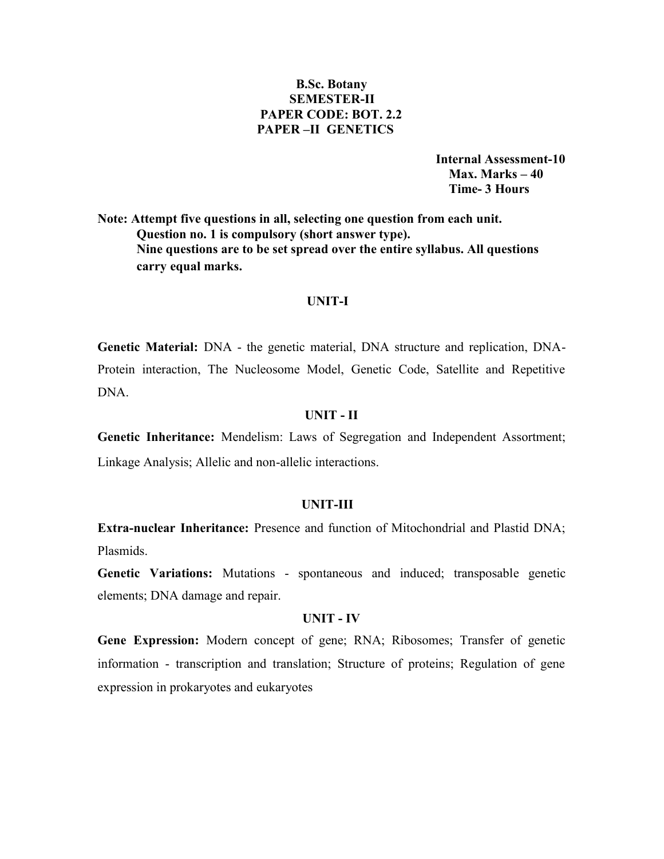# **B.Sc. Botany SEMESTER-II PAPER CODE: BOT. 2.2 PAPER –II GENETICS**

**Internal Assessment-10 Max. Marks – 40 Time- 3 Hours**

**Note: Attempt five questions in all, selecting one question from each unit. Question no. 1 is compulsory (short answer type). Nine questions are to be set spread over the entire syllabus. All questions carry equal marks.**

#### **UNIT-I**

**Genetic Material:** DNA - the genetic material, DNA structure and replication, DNA- Protein interaction, The Nucleosome Model, Genetic Code, Satellite and Repetitive DNA.

#### **UNIT - II**

**Genetic Inheritance:** Mendelism: Laws of Segregation and Independent Assortment; Linkage Analysis; Allelic and non-allelic interactions.

#### **UNIT-III**

**Extra-nuclear Inheritance:** Presence and function of Mitochondrial and Plastid DNA; Plasmids.

**Genetic Variations:** Mutations - spontaneous and induced; transposable genetic elements; DNA damage and repair.

## **UNIT - IV**

**Gene Expression:** Modern concept of gene; RNA; Ribosomes; Transfer of genetic information - transcription and translation; Structure of proteins; Regulation of gene expression in prokaryotes and eukaryotes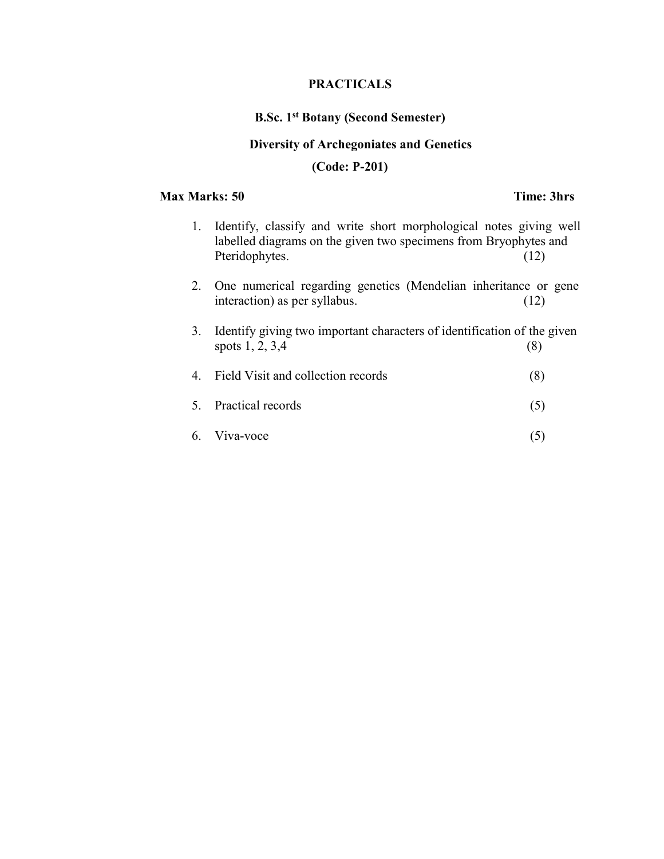# **PRACTICALS**

# **B.Sc. 1st Botany (Second Semester)**

# **Diversity of Archegoniates and Genetics**

# **(Code: P-201)**

# **Max Marks: 50 Time: 3hrs**

- 1. Identify, classify and write short morphological notes giving well labelled diagrams on the given two specimens from Bryophytes and Pteridophytes. (12) 2. One numerical regarding genetics (Mendelian inheritance or gene interaction) as per syllabus. (12)
- 3. Identify giving two important characters of identification of the given spots  $1, 2, 3, 4$  (8)
- 4. Field Visit and collection records (8)
- 5. Practical records (5)
- 6. Viva-voce (5)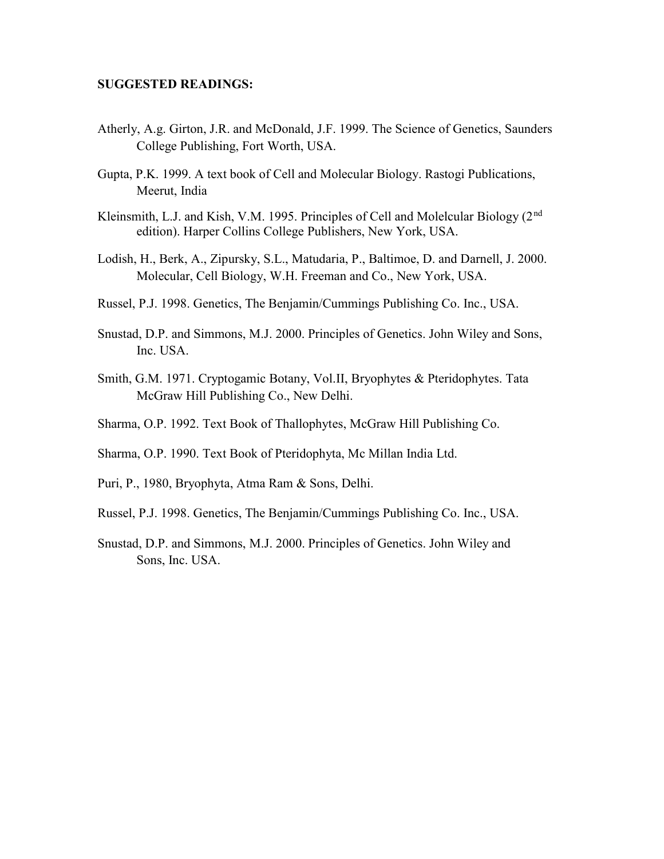### **SUGGESTED READINGS:**

- Atherly, A.g. Girton, J.R. and McDonald, J.F. 1999. The Science of Genetics, Saunders College Publishing, Fort Worth, USA.
- Gupta, P.K. 1999. A text book of Cell and Molecular Biology. Rastogi Publications, Meerut, India
- Kleinsmith, L.J. and Kish, V.M. 1995. Principles of Cell and Molelcular Biology (2nd edition). Harper Collins College Publishers, New York, USA.
- Lodish, H., Berk, A., Zipursky, S.L., Matudaria, P., Baltimoe, D. and Darnell, J. 2000. Molecular, Cell Biology, W.H. Freeman and Co., New York, USA.
- Russel, P.J. 1998. Genetics, The Benjamin/Cummings Publishing Co. Inc., USA.
- Snustad, D.P. and Simmons, M.J. 2000. Principles of Genetics. John Wiley and Sons, Inc. USA.
- Smith, G.M. 1971. Cryptogamic Botany, Vol.II, Bryophytes & Pteridophytes. Tata McGraw Hill Publishing Co., New Delhi.
- Sharma, O.P. 1992. Text Book of Thallophytes, McGraw Hill Publishing Co.
- Sharma, O.P. 1990. Text Book of Pteridophyta, Mc Millan India Ltd.
- Puri, P., 1980, Bryophyta, Atma Ram & Sons, Delhi.
- Russel, P.J. 1998. Genetics, The Benjamin/Cummings Publishing Co. Inc., USA.
- Snustad, D.P. and Simmons, M.J. 2000. Principles of Genetics. John Wiley and Sons, Inc. USA.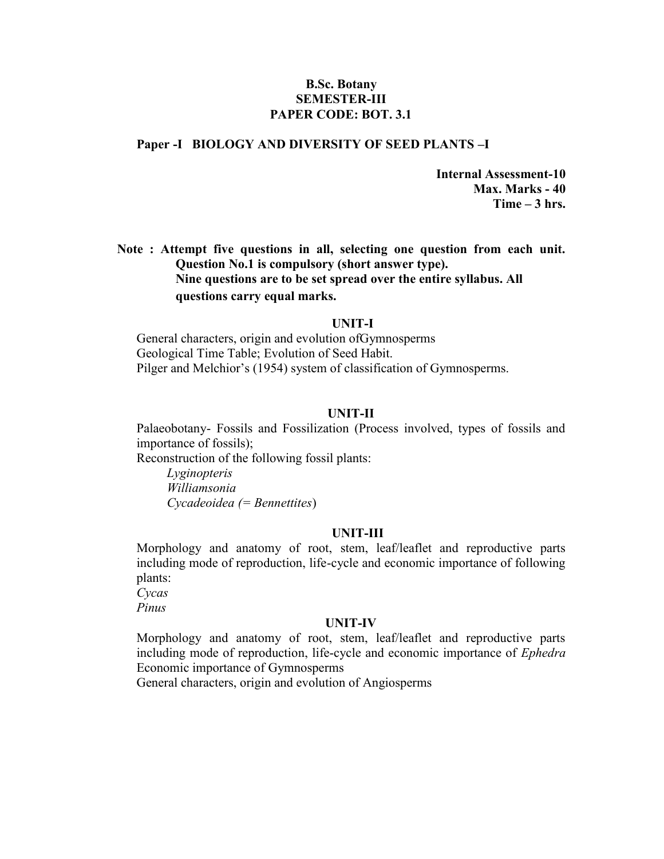# **B.Sc. Botany SEMESTER-III PAPER CODE: BOT. 3.1**

# **Paper -I BIOLOGY AND DIVERSITY OF SEED PLANTS –I**

**Internal Assessment-10 Max. Marks - 40 Time – 3 hrs.**

**Note : Attempt five questions in all, selecting one question from each unit. Question No.1 is compulsory (short answer type). Nine questions are to be set spread over the entire syllabus. All questions carry equal marks.**

#### **UNIT-I**

General characters, origin and evolution ofGymnosperms Geological Time Table; Evolution of Seed Habit. Pilger and Melchior's (1954) system of classification of Gymnosperms.

#### **UNIT-II**

Palaeobotany- Fossils and Fossilization (Process involved, types of fossils and importance of fossils);

Reconstruction of the following fossil plants:

*Lyginopteris Williamsonia Cycadeoidea (= Bennettites*)

#### **UNIT-III**

Morphology and anatomy of root, stem, leaf/leaflet and reproductive parts including mode of reproduction, life-cycle and economic importance of following plants:

*Cycas Pinus*

#### **UNIT-IV**

Morphology and anatomy of root, stem, leaf/leaflet and reproductive parts including mode of reproduction, life-cycle and economic importance of *Ephedra* Economic importance of Gymnosperms

General characters, origin and evolution of Angiosperms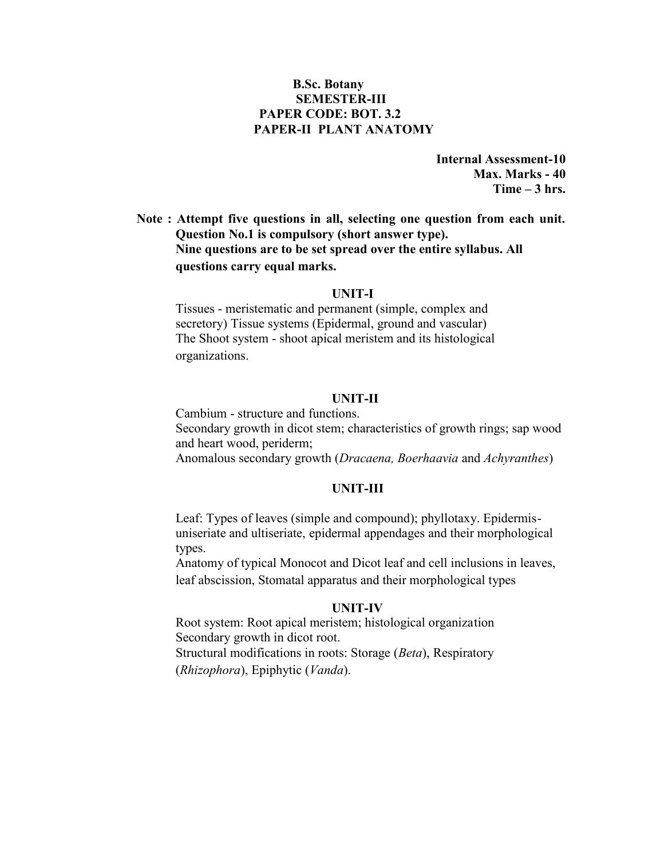# **B.Sc. Botany SEMESTER-III PAPER CODE: BOT. 3.2 PAPER-II PLANT ANATOMY**

**Internal Assessment-10 Max. Marks - 40 Time – 3 hrs.**

**Note : Attempt five questions in all, selecting one question from each unit. Question No.1 is compulsory (short answer type). Nine questions are to be set spread over the entire syllabus. All questions carry equal marks.**

#### **UNIT-I**

Tissues - meristematic and permanent (simple, complex and secretory) Tissue systems (Epidermal, ground and vascular) The Shoot system - shoot apical meristem and its histological organizations.

#### **UNIT-II**

Cambium - structure and functions. Secondary growth in dicot stem; characteristics of growth rings; sap wood and heart wood, periderm; Anomalous secondary growth (*Dracaena, Boerhaavia* and *Achyranthes*)

#### **UNIT-III**

Leaf: Types of leaves (simple and compound); phyllotaxy. Epidermis uniseriate and ultiseriate, epidermal appendages and their morphological types.

Anatomy of typical Monocot and Dicot leaf and cell inclusions in leaves, leaf abscission, Stomatal apparatus and their morphological types

# **UNIT-IV**

Root system: Root apical meristem; histological organization Secondary growth in dicot root. Structural modifications in roots: Storage (*Beta*), Respiratory (*Rhizophora*), Epiphytic (*Vanda*).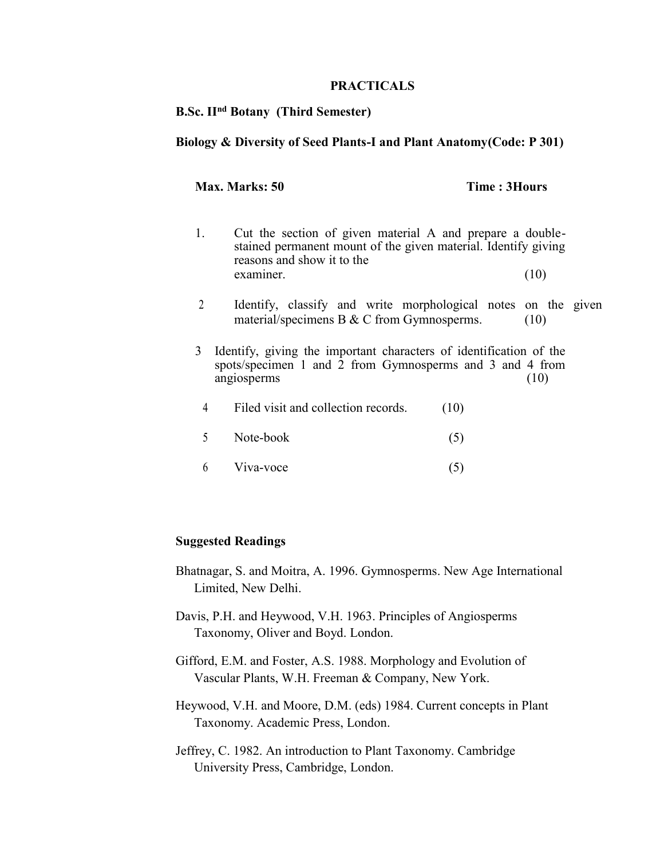## **PRACTICALS**

# **B.Sc. IInd Botany (Third Semester)**

# **Biology & Diversity of Seed Plants-I and Plant Anatomy(Code: P 301)**

## **Max. Marks: 50 Time : 3Hours**

- 1. Cut the section of given material A and prepare a double stained permanent mount of the given material. Identify giving reasons and show it to the examiner. (10)
- 2 Identify, classify and write morphological notes on the given material/specimens B  $&$  C from Gymnosperms. (10)
- 3 Identify, giving the important characters of identification of the spots/specimen 1 and 2 from Gymnosperms and 3 and 4 from angiosperms (10)
	- 4 Filed visit and collection records. (10)
	- 5 Note-book (5)
	- $6$  Viva-voce  $(5)$

# **Suggested Readings**

- Bhatnagar, S. and Moitra, A. 1996. Gymnosperms. New Age International Limited, New Delhi.
- Davis, P.H. and Heywood, V.H. 1963. Principles of Angiosperms Taxonomy, Oliver and Boyd. London.
- Gifford, E.M. and Foster, A.S. 1988. Morphology and Evolution of Vascular Plants, W.H. Freeman & Company, New York.
- Heywood, V.H. and Moore, D.M. (eds) 1984. Current concepts in Plant Taxonomy. Academic Press, London.
- Jeffrey, C. 1982. An introduction to Plant Taxonomy. Cambridge University Press, Cambridge, London.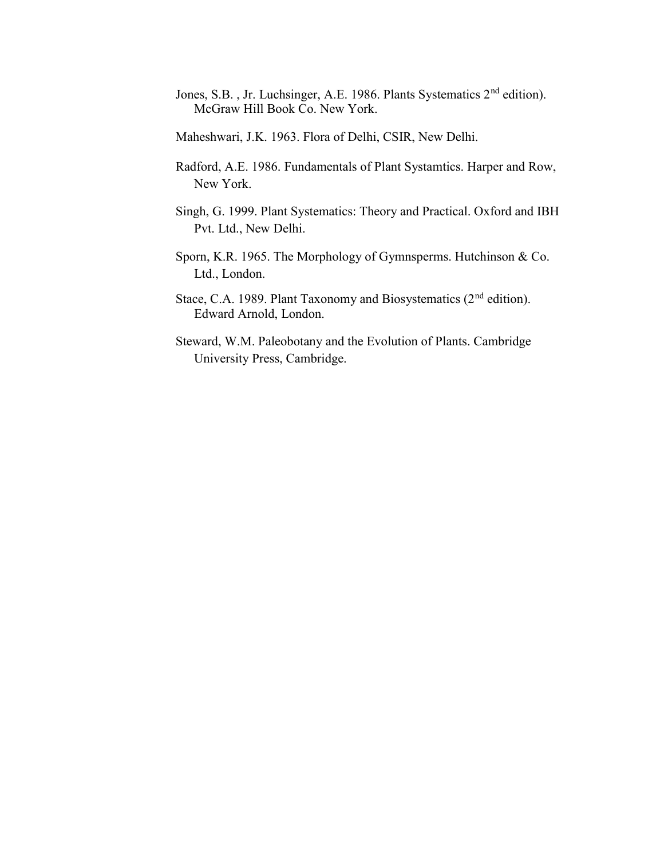- Jones, S.B., Jr. Luchsinger, A.E. 1986. Plants Systematics 2<sup>nd</sup> edition). McGraw Hill Book Co. New York.
- Maheshwari, J.K. 1963. Flora of Delhi, CSIR, New Delhi.
- Radford, A.E. 1986. Fundamentals of Plant Systamtics. Harper and Row, New York.
- Singh, G. 1999. Plant Systematics: Theory and Practical. Oxford and IBH Pvt. Ltd., New Delhi.
- Sporn, K.R. 1965. The Morphology of Gymnsperms. Hutchinson & Co. Ltd., London.
- Stace, C.A. 1989. Plant Taxonomy and Biosystematics (2<sup>nd</sup> edition). Edward Arnold, London.
- Steward, W.M. Paleobotany and the Evolution of Plants. Cambridge University Press, Cambridge.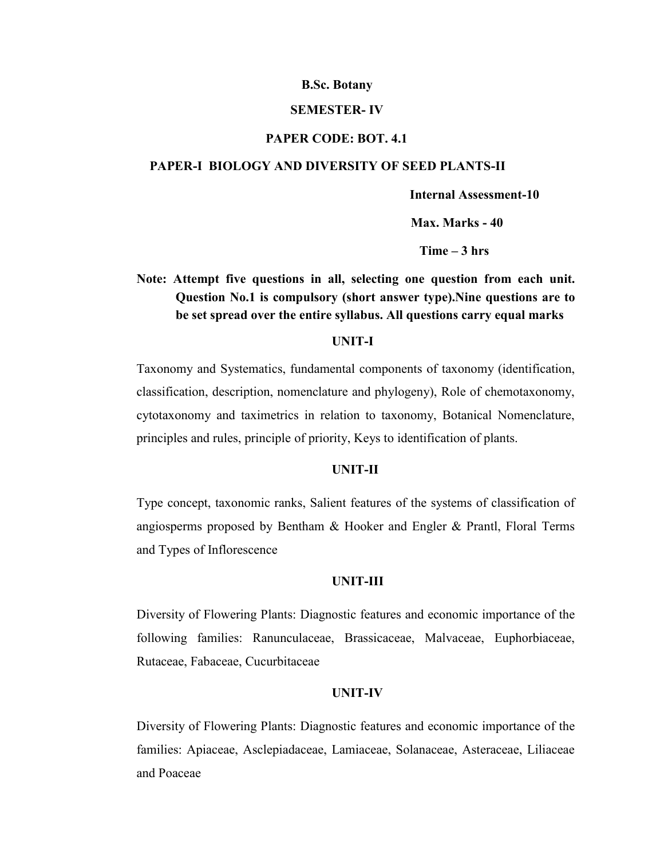#### **SEMESTER- IV**

#### **PAPER CODE: BOT. 4.1**

#### **PAPER-I BIOLOGY AND DIVERSITY OF SEED PLANTS-II**

**Internal Assessment-10**

**Max. Marks - 40**

**Time – 3 hrs**

# **Note: Attempt five questions in all, selecting one question from each unit. Question No.1 is compulsory (short answer type).Nine questions are to be set spread over the entire syllabus. All questions carry equal marks**

#### **UNIT-I**

Taxonomy and Systematics, fundamental components of taxonomy (identification, classification, description, nomenclature and phylogeny), Role of chemotaxonomy, cytotaxonomy and taximetrics in relation to taxonomy, Botanical Nomenclature, principles and rules, principle of priority, Keys to identification of plants.

#### **UNIT-II**

Type concept, taxonomic ranks, Salient features of the systems of classification of angiosperms proposed by Bentham & Hooker and Engler & Prantl, Floral Terms and Types of Inflorescence

#### **UNIT-III**

Diversity of Flowering Plants: Diagnostic features and economic importance of the following families: Ranunculaceae, Brassicaceae, Malvaceae, Euphorbiaceae, Rutaceae, Fabaceae, Cucurbitaceae

#### **UNIT-IV**

Diversity of Flowering Plants: Diagnostic features and economic importance of the families: Apiaceae, Asclepiadaceae, Lamiaceae, Solanaceae, Asteraceae, Liliaceae and Poaceae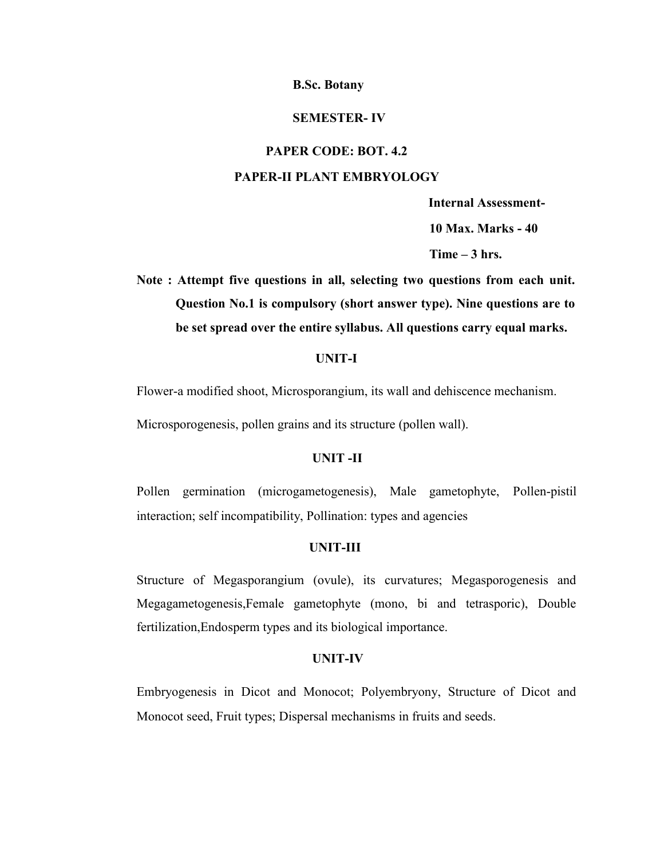#### **SEMESTER- IV**

#### **PAPER CODE: BOT. 4.2**

#### **PAPER-II PLANT EMBRYOLOGY**

**Internal Assessment-**

**10 Max. Marks - 40**

**Time – 3 hrs.**

**Note : Attempt five questions in all, selecting two questions from each unit. Question No.1 is compulsory (short answer type). Nine questions are to be set spread over the entire syllabus. All questions carry equal marks.**

## **UNIT-I**

Flower-a modified shoot, Microsporangium, its wall and dehiscence mechanism.

Microsporogenesis, pollen grains and its structure (pollen wall).

## **UNIT -II**

Pollen germination (microgametogenesis), Male gametophyte, Pollen-pistil interaction; self incompatibility, Pollination: types and agencies

#### **UNIT-III**

Structure of Megasporangium (ovule), its curvatures; Megasporogenesis and Megagametogenesis,Female gametophyte (mono, bi and tetrasporic), Double fertilization,Endosperm types and its biological importance.

#### **UNIT-IV**

Embryogenesis in Dicot and Monocot; Polyembryony, Structure of Dicot and Monocot seed, Fruit types; Dispersal mechanisms in fruits and seeds.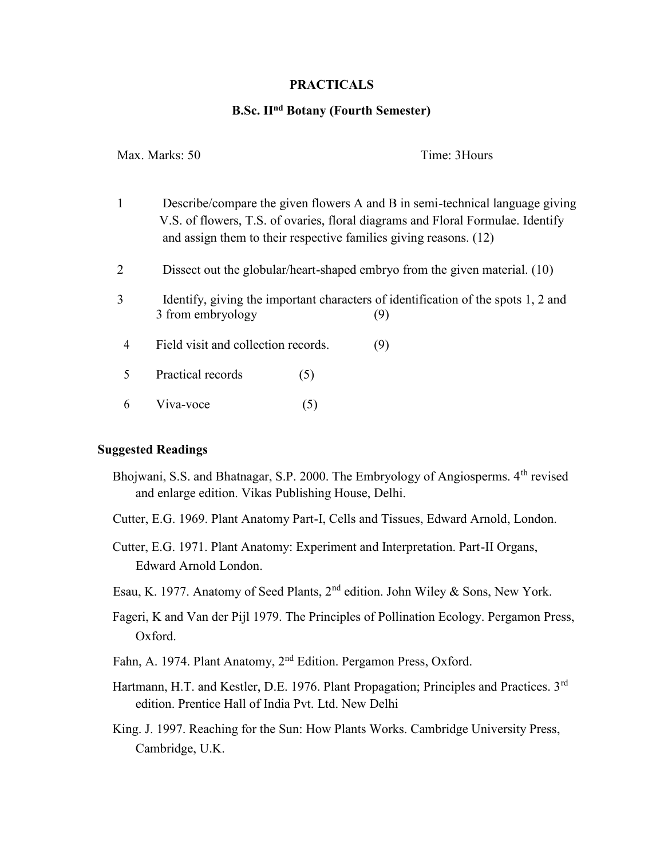# **PRACTICALS**

# **B.Sc. IInd Botany (Fourth Semester)**

| Max. Marks: 50 |                                                                                                                                                                                                                                      | Time: 3Hours                                                                             |  |  |  |  |
|----------------|--------------------------------------------------------------------------------------------------------------------------------------------------------------------------------------------------------------------------------------|------------------------------------------------------------------------------------------|--|--|--|--|
| $\mathbf{1}$   | Describe/compare the given flowers A and B in semi-technical language giving<br>V.S. of flowers, T.S. of ovaries, floral diagrams and Floral Formulae. Identify<br>and assign them to their respective families giving reasons. (12) |                                                                                          |  |  |  |  |
| $\overline{2}$ | Dissect out the globular/heart-shaped embryo from the given material. (10)                                                                                                                                                           |                                                                                          |  |  |  |  |
| 3              | 3 from embryology                                                                                                                                                                                                                    | Identify, giving the important characters of identification of the spots 1, 2 and<br>(9) |  |  |  |  |
| 4              | Field visit and collection records.                                                                                                                                                                                                  | (9)                                                                                      |  |  |  |  |
| 5              | Practical records<br>(5)                                                                                                                                                                                                             |                                                                                          |  |  |  |  |
| 6              | Viva-voce<br>(5)                                                                                                                                                                                                                     |                                                                                          |  |  |  |  |

# **Suggested Readings**

- Bhojwani, S.S. and Bhatnagar, S.P. 2000. The Embryology of Angiosperms. 4th revised and enlarge edition. Vikas Publishing House, Delhi.
- Cutter, E.G. 1969. Plant Anatomy Part-I, Cells and Tissues, Edward Arnold, London.
- Cutter, E.G. 1971. Plant Anatomy: Experiment and Interpretation. Part-II Organs, Edward Arnold London.
- Esau, K. 1977. Anatomy of Seed Plants,  $2<sup>nd</sup>$  edition. John Wiley & Sons, New York.
- Fageri, K and Van der Pijl 1979. The Principles of Pollination Ecology. Pergamon Press, Oxford.
- Fahn, A. 1974. Plant Anatomy, 2nd Edition. Pergamon Press, Oxford.
- Hartmann, H.T. and Kestler, D.E. 1976. Plant Propagation; Principles and Practices. 3<sup>rd</sup> edition. Prentice Hall of India Pvt. Ltd. New Delhi
- King. J. 1997. Reaching for the Sun: How Plants Works. Cambridge University Press, Cambridge, U.K.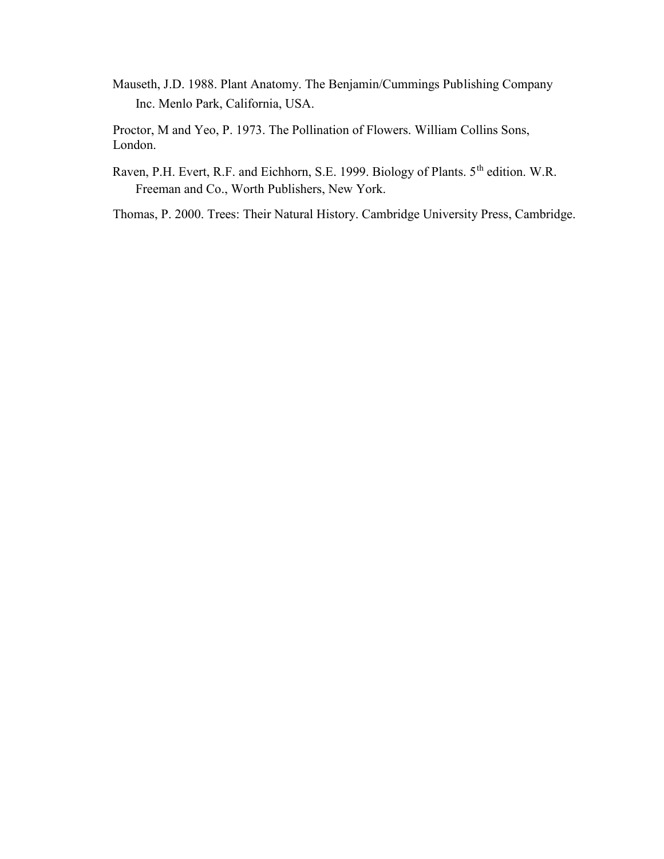Mauseth, J.D. 1988. Plant Anatomy. The Benjamin/Cummings Publishing Company Inc. Menlo Park, California, USA.

Proctor, M and Yeo, P. 1973. The Pollination of Flowers. William Collins Sons, London.

Raven, P.H. Evert, R.F. and Eichhorn, S.E. 1999. Biology of Plants. 5<sup>th</sup> edition. W.R. Freeman and Co., Worth Publishers, New York.

Thomas, P. 2000. Trees: Their Natural History. Cambridge University Press, Cambridge.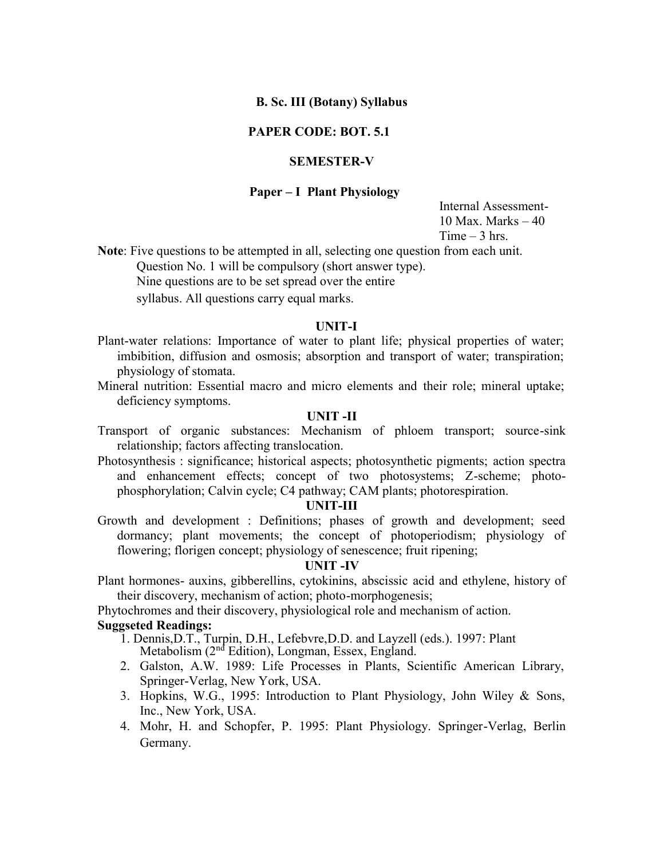# **B. Sc. III (Botany) Syllabus**

# **PAPER CODE: BOT. 5.1**

# **SEMESTER-V**

# **Paper – I Plant Physiology**

Internal Assessment- 10 Max. Marks  $-40$  $Time - 3 hrs$ 

**Note**: Five questions to be attempted in all, selecting one question from each unit.

Question No. 1 will be compulsory (short answer type).

Nine questions are to be set spread over the entire

syllabus. All questions carry equal marks.

#### **UNIT-I**

- Plant-water relations: Importance of water to plant life; physical properties of water; imbibition, diffusion and osmosis; absorption and transport of water; transpiration; physiology of stomata.
- Mineral nutrition: Essential macro and micro elements and their role; mineral uptake; deficiency symptoms.

# **UNIT -II**

- Transport of organic substances: Mechanism of phloem transport; source-sink relationship; factors affecting translocation.
- Photosynthesis : significance; historical aspects; photosynthetic pigments; action spectra and enhancement effects; concept of two photosystems; Z-scheme; photo phosphorylation; Calvin cycle; C4 pathway; CAM plants; photorespiration.

#### **UNIT-III**

Growth and development : Definitions; phases of growth and development; seed dormancy; plant movements; the concept of photoperiodism; physiology of flowering; florigen concept; physiology of senescence; fruit ripening;

#### **UNIT -IV**

Plant hormones- auxins, gibberellins, cytokinins, abscissic acid and ethylene, history of their discovery, mechanism of action; photo-morphogenesis;

Phytochromes and their discovery, physiological role and mechanism of action. **Suggseted Readings:**

- 1. Dennis,D.T., Turpin, D.H., Lefebvre,D.D. and Layzell (eds.). 1997: Plant Metabolism (2<sup>nd</sup> Edition), Longman, Essex, England.
- 2. Galston, A.W. 1989: Life Processes in Plants, Scientific American Library, Springer-Verlag, New York, USA.
- 3. Hopkins, W.G., 1995: Introduction to Plant Physiology, John Wiley & Sons, Inc., New York, USA.
- 4. Mohr, H. and Schopfer, P. 1995: Plant Physiology. Springer-Verlag, Berlin Germany.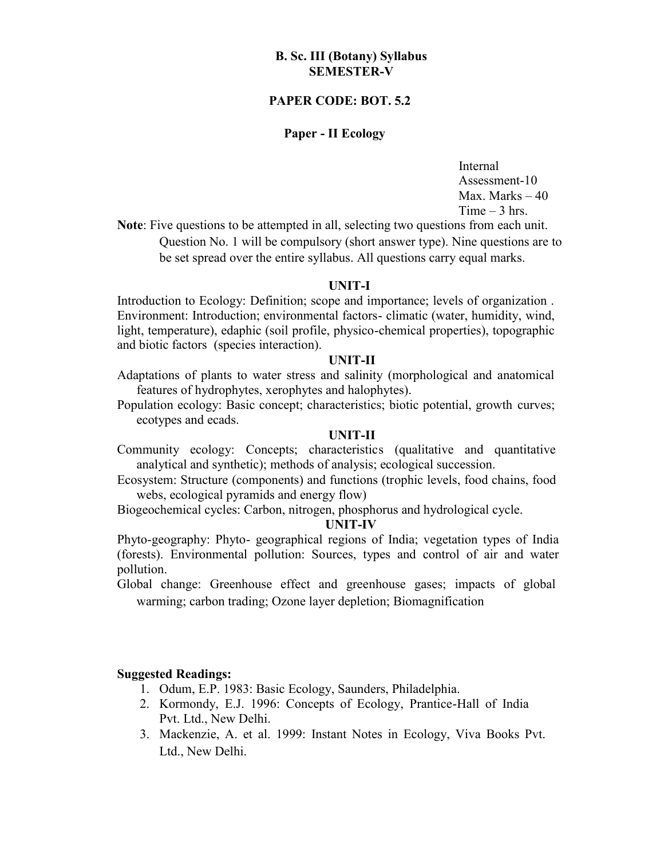# **B. Sc. III (Botany) Syllabus SEMESTER-V**

# **PAPER CODE: BOT. 5.2**

# **Paper - II Ecology**

Internal Assessment-10 Max. Marks  $-40$  $Time - 3 hrs.$ 

**Note**: Five questions to be attempted in all, selecting two questions from each unit. Question No. 1 will be compulsory (short answer type). Nine questions are to be set spread over the entire syllabus. All questions carry equal marks.

## **UNIT-I**

Introduction to Ecology: Definition; scope and importance; levels of organization . Environment: Introduction; environmental factors- climatic (water, humidity, wind, light, temperature), edaphic (soil profile, physico-chemical properties), topographic and biotic factors (species interaction).

## **UNIT-II**

Adaptations of plants to water stress and salinity (morphological and anatomical features of hydrophytes, xerophytes and halophytes).

Population ecology: Basic concept; characteristics; biotic potential, growth curves; ecotypes and ecads.

#### **UNIT-II**

Community ecology: Concepts; characteristics (qualitative and quantitative analytical and synthetic); methods of analysis; ecological succession.

Ecosystem: Structure (components) and functions (trophic levels, food chains, food webs, ecological pyramids and energy flow)

Biogeochemical cycles: Carbon, nitrogen, phosphorus and hydrological cycle.

#### **UNIT-IV**

Phyto-geography: Phyto- geographical regions of India; vegetation types of India (forests). Environmental pollution: Sources, types and control of air and water pollution.

Global change: Greenhouse effect and greenhouse gases; impacts of global warming; carbon trading; Ozone layer depletion; Biomagnification

# **Suggested Readings:**

- 1. Odum, E.P. 1983: Basic Ecology, Saunders, Philadelphia.
- 2. Kormondy, E.J. 1996: Concepts of Ecology, Prantice-Hall of India Pvt. Ltd., New Delhi.
- 3. Mackenzie, A. et al. 1999: Instant Notes in Ecology, Viva Books Pvt. Ltd., New Delhi.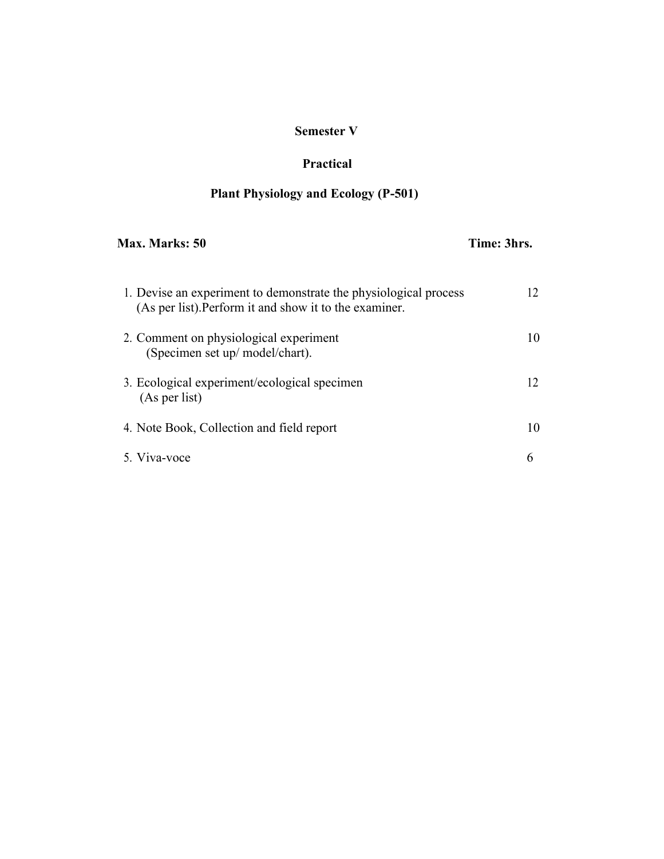# **Semester V**

# **Practical**

# **Plant Physiology and Ecology (P-501)**

| Max. Marks: 50                                                                                                             | Time: 3hrs. |  |
|----------------------------------------------------------------------------------------------------------------------------|-------------|--|
| 1. Devise an experiment to demonstrate the physiological process<br>(As per list). Perform it and show it to the examiner. | 12          |  |
| 2. Comment on physiological experiment<br>(Specimen set up/ model/chart).                                                  | 10          |  |
| 3. Ecological experiment/ecological specimen<br>(As per list)                                                              | 12          |  |
| 4. Note Book, Collection and field report                                                                                  | 10          |  |
| 5 Viva-voce                                                                                                                | 6           |  |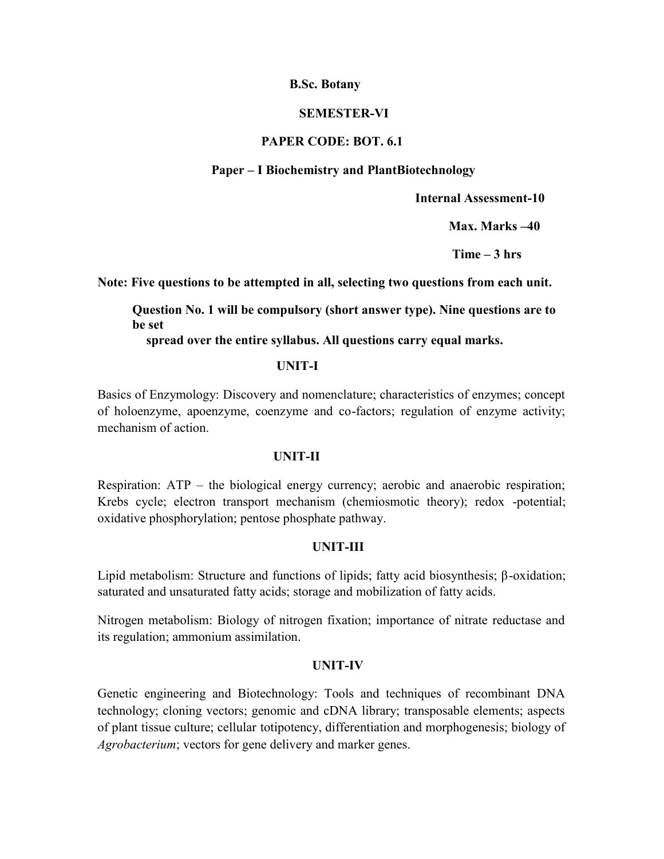## **SEMESTER-VI**

# **PAPER CODE: BOT. 6.1**

# **Paper – I Biochemistry and PlantBiotechnology**

**Internal Assessment-10**

**Max. Marks –40**

**Time – 3 hrs**

**Note: Five questions to be attempted in all, selecting two questions from each unit.**

**Question No. 1 will be compulsory (short answer type). Nine questions are to be set**

**spread over the entire syllabus. All questions carry equal marks.**

#### **UNIT-I**

Basics of Enzymology: Discovery and nomenclature; characteristics of enzymes; concept of holoenzyme, apoenzyme, coenzyme and co-factors; regulation of enzyme activity; mechanism of action.

#### **UNIT-II**

Respiration: ATP – the biological energy currency; aerobic and anaerobic respiration; Krebs cycle; electron transport mechanism (chemiosmotic theory); redox -potential; oxidative phosphorylation; pentose phosphate pathway.

# **UNIT-III**

Lipid metabolism: Structure and functions of lipids; fatty acid biosynthesis; β-oxidation; saturated and unsaturated fatty acids; storage and mobilization of fatty acids.

Nitrogen metabolism: Biology of nitrogen fixation; importance of nitrate reductase and its regulation; ammonium assimilation.

# **UNIT-IV**

Genetic engineering and Biotechnology: Tools and techniques of recombinant DNA technology; cloning vectors; genomic and cDNA library; transposable elements; aspects of plant tissue culture; cellular totipotency, differentiation and morphogenesis; biology of *Agrobacterium*; vectors for gene delivery and marker genes.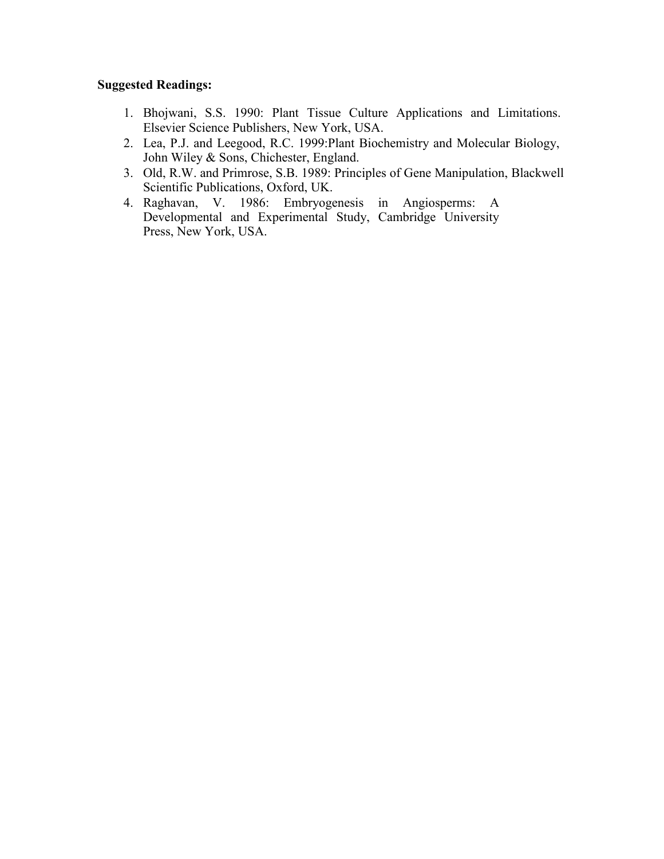# **Suggested Readings:**

- 1. Bhojwani, S.S. 1990: Plant Tissue Culture Applications and Limitations. Elsevier Science Publishers, New York, USA.
- 2. Lea, P.J. and Leegood, R.C. 1999:Plant Biochemistry and Molecular Biology, John Wiley & Sons, Chichester, England.
- 3. Old, R.W. and Primrose, S.B. 1989: Principles of Gene Manipulation, Blackwell Scientific Publications, Oxford, UK.
- 4. Raghavan, V. 1986: Embryogenesis in Angiosperms: A Developmental and Experimental Study, Cambridge University Press, New York, USA.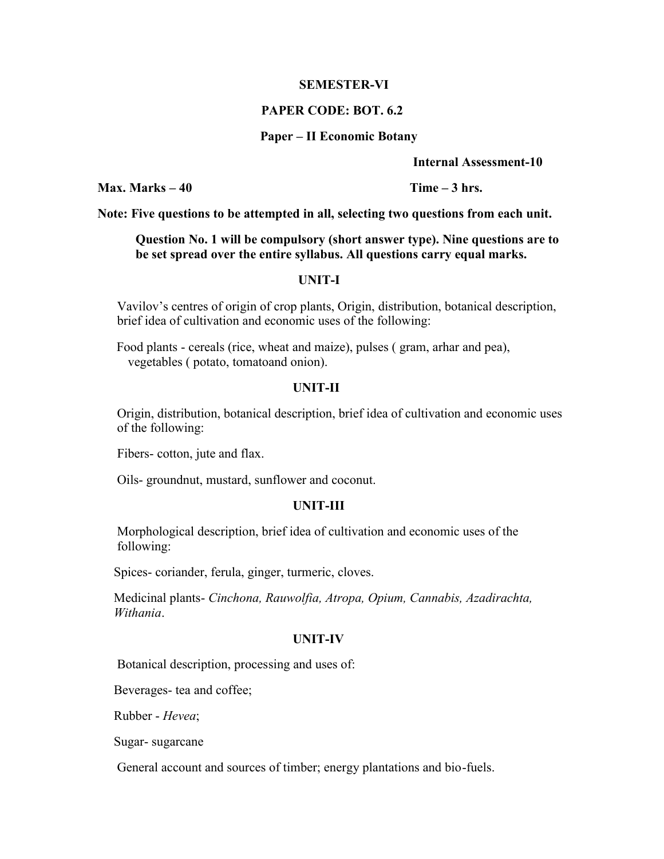#### **SEMESTER-VI**

#### **PAPER CODE: BOT. 6.2**

#### **Paper – II Economic Botany**

**Internal Assessment-10**

**Max.** Marks – 40 **Time** – 3 hrs.

**Note: Five questions to be attempted in all, selecting two questions from each unit.**

# **Question No. 1 will be compulsory (short answer type). Nine questions are to be set spread over the entire syllabus. All questions carry equal marks.**

# **UNIT-I**

Vavilov's centres of origin of crop plants, Origin, distribution, botanical description, brief idea of cultivation and economic uses of the following:

Food plants - cereals (rice, wheat and maize), pulses ( gram, arhar and pea), vegetables ( potato, tomatoand onion).

# **UNIT-II**

Origin, distribution, botanical description, brief idea of cultivation and economic uses of the following:

Fibers- cotton, jute and flax.

Oils- groundnut, mustard, sunflower and coconut.

#### **UNIT-III**

Morphological description, brief idea of cultivation and economic uses of the following:

Spices- coriander, ferula, ginger, turmeric, cloves.

Medicinal plants- *Cinchona, Rauwolfia, Atropa, Opium, Cannabis, Azadirachta, Withania*.

#### **UNIT-IV**

Botanical description, processing and uses of:

Beverages- tea and coffee;

Rubber - *Hevea*;

Sugar- sugarcane

General account and sources of timber; energy plantations and bio-fuels.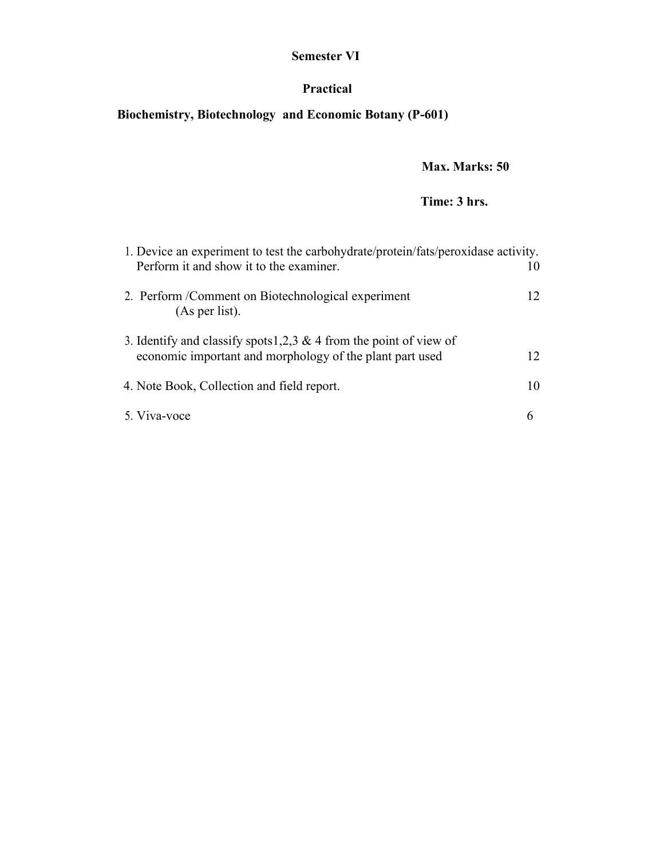# **Semester VI**

# **Practical**

# **Biochemistry, Biotechnology and Economic Botany (P-601)**

# **Max. Marks: 50**

# **Time: 3 hrs.**

| 1. Device an experiment to test the carbohydrate/protein/fats/peroxidase activity.                                             |    |  |  |  |
|--------------------------------------------------------------------------------------------------------------------------------|----|--|--|--|
| Perform it and show it to the examiner.                                                                                        | 10 |  |  |  |
| 2. Perform / Comment on Biotechnological experiment<br>(As per list).                                                          | 12 |  |  |  |
| 3. Identify and classify spots 1,2,3 & 4 from the point of view of<br>economic important and morphology of the plant part used | 12 |  |  |  |
| 4. Note Book, Collection and field report.                                                                                     | 10 |  |  |  |
| 5. Viva-voce                                                                                                                   | 6  |  |  |  |